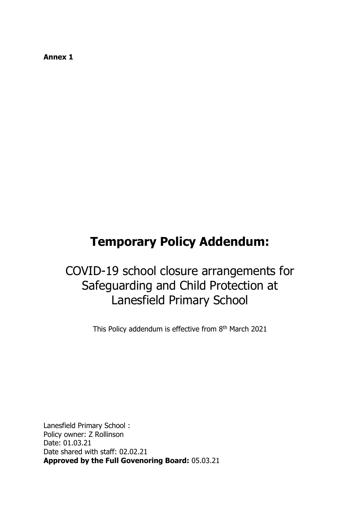**Annex 1**

# **Temporary Policy Addendum:**

## COVID-19 school closure arrangements for Safeguarding and Child Protection at Lanesfield Primary School

This Policy addendum is effective from 8<sup>th</sup> March 2021

Lanesfield Primary School : Policy owner: Z Rollinson Date: 01.03.21 Date shared with staff: 02.02.21 **Approved by the Full Govenoring Board:** 05.03.21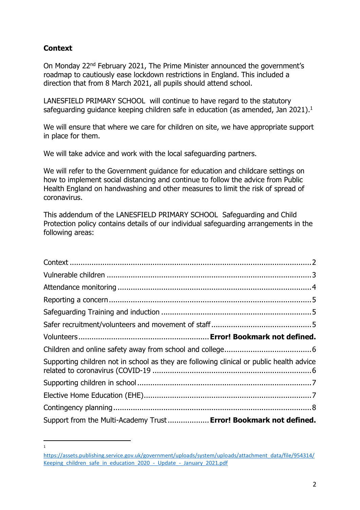## <span id="page-1-0"></span>**Context**

 $\overline{a}$ 1

On Monday 22nd February 2021, The Prime Minister announced the government's roadmap to cautiously ease lockdown restrictions in England. This included a direction that from 8 March 2021, all pupils should attend school.

LANESFIELD PRIMARY SCHOOL will continue to have regard to the statutory safeguarding guidance keeping children safe in education (as amended, Jan 2021).<sup>1</sup>

We will ensure that where we care for children on site, we have appropriate support in place for them.

We will take advice and work with the local safeguarding partners.

We will refer to the Government guidance for education and childcare settings on how to implement social distancing and continue to follow the advice from Public Health England on handwashing and other measures to limit the risk of spread of coronavirus.

This addendum of the LANESFIELD PRIMARY SCHOOL Safeguarding and Child Protection policy contains details of our individual safeguarding arrangements in the following areas:

| Supporting children not in school as they are following clinical or public health advice |  |
|------------------------------------------------------------------------------------------|--|
|                                                                                          |  |
|                                                                                          |  |
|                                                                                          |  |
| Support from the Multi-Academy Trust  Error! Bookmark not defined.                       |  |

[https://assets.publishing.service.gov.uk/government/uploads/system/uploads/attachment\\_data/file/954314/](https://assets.publishing.service.gov.uk/government/uploads/system/uploads/attachment_data/file/954314/Keeping_children_safe_in_education_2020_-_Update_-_January_2021.pdf) Keeping children safe in education 2020 - Update - January 2021.pdf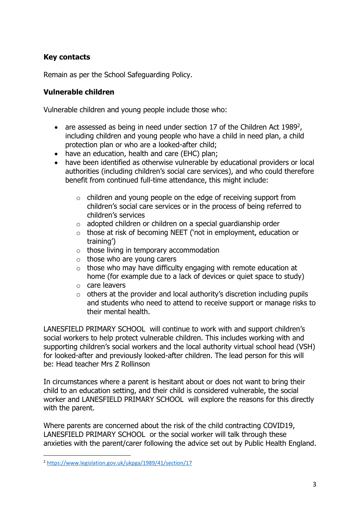## **Key contacts**

Remain as per the School Safeguarding Policy.

#### <span id="page-2-0"></span>**Vulnerable children**

Vulnerable children and young people include those who:

- are assessed as being in need under section 17 of the Children Act 1989<sup>2</sup>, including children and young people who have a child in need plan, a child protection plan or who are a looked-after child;
- have an education, health and care (EHC) plan;
- have been identified as otherwise vulnerable by educational providers or local authorities (including children's social care services), and who could therefore benefit from continued full-time attendance, this might include:
	- o children and young people on the edge of receiving support from children's social care services or in the process of being referred to children's services
	- $\circ$  adopted children or children on a special guardianship order
	- o those at risk of becoming NEET ('not in employment, education or training')
	- $\circ$  those living in temporary accommodation
	- $\circ$  those who are young carers
	- $\circ$  those who may have difficulty engaging with remote education at home (for example due to a lack of devices or quiet space to study)
	- o care leavers
	- $\circ$  others at the provider and local authority's discretion including pupils and students who need to attend to receive support or manage risks to their mental health.

LANESFIELD PRIMARY SCHOOL will continue to work with and support children's social workers to help protect vulnerable children. This includes working with and supporting children's social workers and the local authority virtual school head (VSH) for looked-after and previously looked-after children. The lead person for this will be: Head teacher Mrs Z Rollinson

In circumstances where a parent is hesitant about or does not want to bring their child to an education setting, and their child is considered vulnerable, the social worker and LANESFIELD PRIMARY SCHOOL will explore the reasons for this directly with the parent.

Where parents are concerned about the risk of the child contracting COVID19, LANESFIELD PRIMARY SCHOOL or the social worker will talk through these anxieties with the parent/carer following the advice set out by Public Health England.

 $\overline{a}$ 

<sup>2</sup> <https://www.legislation.gov.uk/ukpga/1989/41/section/17>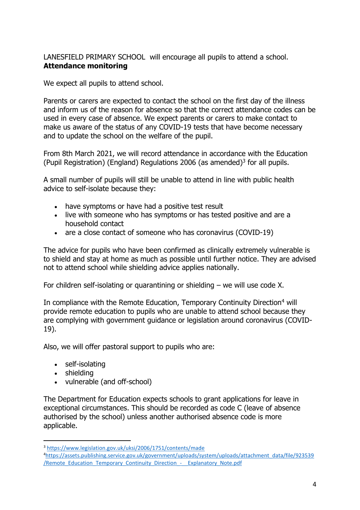<span id="page-3-0"></span>LANESFIELD PRIMARY SCHOOL will encourage all pupils to attend a school. **Attendance monitoring**

We expect all pupils to attend school.

Parents or carers are expected to contact the school on the first day of the illness and inform us of the reason for absence so that the correct attendance codes can be used in every case of absence. We expect parents or carers to make contact to make us aware of the status of any COVID-19 tests that have become necessary and to update the school on the welfare of the pupil.

From 8th March 2021, we will record attendance in accordance with the Education (Pupil Registration) (England) Regulations 2006 (as amended)<sup>3</sup> for all pupils.

A small number of pupils will still be unable to attend in line with public health advice to self-isolate because they:

- have symptoms or have had a positive test result
- live with someone who has symptoms or has tested positive and are a household contact
- are a close contact of someone who has coronavirus (COVID-19)

The advice for pupils who have been confirmed as clinically extremely vulnerable is to shield and stay at home as much as possible until further notice. They are advised not to attend school while shielding advice applies nationally.

For children self-isolating or quarantining or shielding – we will use code X.

In compliance with the Remote Education, Temporary Continuity Direction<sup>4</sup> will provide remote education to pupils who are unable to attend school because they are complying with government guidance or legislation around coronavirus (COVID-19).

Also, we will offer pastoral support to pupils who are:

- self-isolating
- shielding

 $\overline{a}$ 

• vulnerable (and off-school)

The Department for Education expects schools to grant applications for leave in exceptional circumstances. This should be recorded as code C (leave of absence authorised by the school) unless another authorised absence code is more applicable.

<sup>3</sup> <https://www.legislation.gov.uk/uksi/2006/1751/contents/made>

<sup>4</sup>[https://assets.publishing.service.gov.uk/government/uploads/system/uploads/attachment\\_data/file/923539](https://assets.publishing.service.gov.uk/government/uploads/system/uploads/attachment_data/file/923539/Remote_Education_Temporary_Continuity_Direction_-__Explanatory_Note.pdf) [/Remote\\_Education\\_Temporary\\_Continuity\\_Direction\\_-\\_\\_Explanatory\\_Note.pdf](https://assets.publishing.service.gov.uk/government/uploads/system/uploads/attachment_data/file/923539/Remote_Education_Temporary_Continuity_Direction_-__Explanatory_Note.pdf)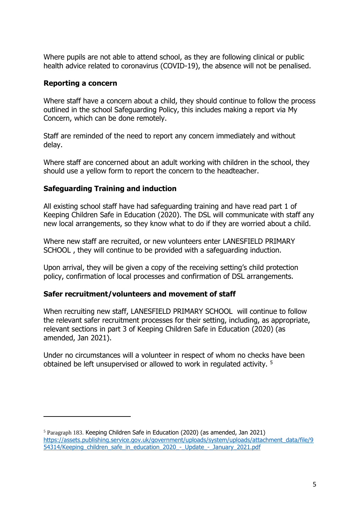Where pupils are not able to attend school, as they are following clinical or public health advice related to coronavirus (COVID-19), the absence will not be penalised.

#### <span id="page-4-0"></span>**Reporting a concern**

 $\overline{a}$ 

Where staff have a concern about a child, they should continue to follow the process outlined in the school Safeguarding Policy, this includes making a report via My Concern, which can be done remotely.

Staff are reminded of the need to report any concern immediately and without delay.

Where staff are concerned about an adult working with children in the school, they should use a yellow form to report the concern to the headteacher.

#### <span id="page-4-1"></span>**Safeguarding Training and induction**

All existing school staff have had safeguarding training and have read part 1 of Keeping Children Safe in Education (2020). The DSL will communicate with staff any new local arrangements, so they know what to do if they are worried about a child.

Where new staff are recruited, or new volunteers enter LANESFIELD PRIMARY SCHOOL , they will continue to be provided with a safeguarding induction.

Upon arrival, they will be given a copy of the receiving setting's child protection policy, confirmation of local processes and confirmation of DSL arrangements.

## <span id="page-4-2"></span>**Safer recruitment/volunteers and movement of staff**

When recruiting new staff, LANESFIELD PRIMARY SCHOOL will continue to follow the relevant safer recruitment processes for their setting, including, as appropriate, relevant sections in part 3 of Keeping Children Safe in Education (2020) (as amended, Jan 2021).

Under no circumstances will a volunteer in respect of whom no checks have been obtained be left unsupervised or allowed to work in regulated activity. <sup>5</sup>

<sup>5</sup> Paragraph 183. Keeping Children Safe in Education (2020) (as amended, Jan 2021) [https://assets.publishing.service.gov.uk/government/uploads/system/uploads/attachment\\_data/file/9](https://assets.publishing.service.gov.uk/government/uploads/system/uploads/attachment_data/file/954314/Keeping_children_safe_in_education_2020_-_Update_-_January_2021.pdf) [54314/Keeping\\_children\\_safe\\_in\\_education\\_2020\\_-\\_Update\\_-\\_January\\_2021.pdf](https://assets.publishing.service.gov.uk/government/uploads/system/uploads/attachment_data/file/954314/Keeping_children_safe_in_education_2020_-_Update_-_January_2021.pdf)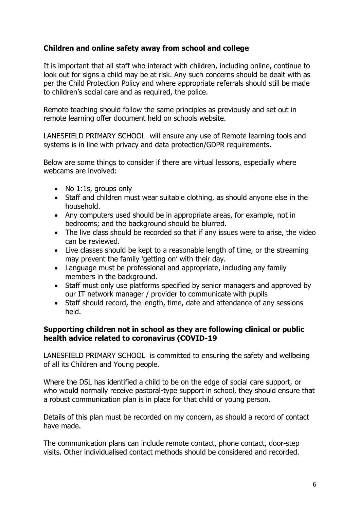## <span id="page-5-0"></span>**Children and online safety away from school and college**

It is important that all staff who interact with children, including online, continue to look out for signs a child may be at risk. Any such concerns should be dealt with as per the Child Protection Policy and where appropriate referrals should still be made to children's social care and as required, the police.

Remote teaching should follow the same principles as previously and set out in remote learning offer document held on schools website.

LANESFIELD PRIMARY SCHOOL will ensure any use of Remote learning tools and systems is in line with privacy and data protection/GDPR requirements.

Below are some things to consider if there are virtual lessons, especially where webcams are involved:

- No 1:1s, groups only
- Staff and children must wear suitable clothing, as should anyone else in the household.
- Any computers used should be in appropriate areas, for example, not in bedrooms; and the background should be blurred.
- The live class should be recorded so that if any issues were to arise, the video can be reviewed.
- Live classes should be kept to a reasonable length of time, or the streaming may prevent the family 'getting on' with their day.
- Language must be professional and appropriate, including any family members in the background.
- Staff must only use platforms specified by senior managers and approved by our IT network manager / provider to communicate with pupils
- Staff should record, the length, time, date and attendance of any sessions held.

#### <span id="page-5-1"></span>**Supporting children not in school as they are following clinical or public health advice related to coronavirus (COVID-19**

LANESFIELD PRIMARY SCHOOL is committed to ensuring the safety and wellbeing of all its Children and Young people.

Where the DSL has identified a child to be on the edge of social care support, or who would normally receive pastoral-type support in school, they should ensure that a robust communication plan is in place for that child or young person.

Details of this plan must be recorded on my concern, as should a record of contact have made.

The communication plans can include remote contact, phone contact, door-step visits. Other individualised contact methods should be considered and recorded.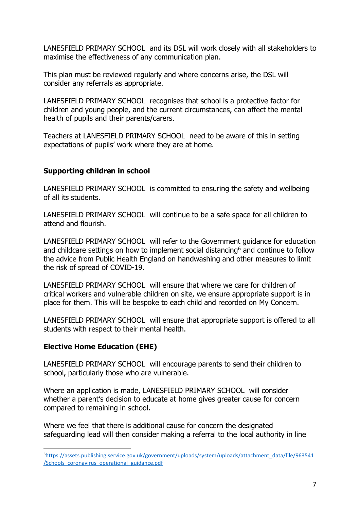LANESFIELD PRIMARY SCHOOL and its DSL will work closely with all stakeholders to maximise the effectiveness of any communication plan.

This plan must be reviewed regularly and where concerns arise, the DSL will consider any referrals as appropriate.

LANESFIELD PRIMARY SCHOOL recognises that school is a protective factor for children and young people, and the current circumstances, can affect the mental health of pupils and their parents/carers.

Teachers at LANESFIELD PRIMARY SCHOOL need to be aware of this in setting expectations of pupils' work where they are at home.

#### <span id="page-6-0"></span>**Supporting children in school**

LANESFIELD PRIMARY SCHOOL is committed to ensuring the safety and wellbeing of all its students.

LANESFIELD PRIMARY SCHOOL will continue to be a safe space for all children to attend and flourish.

LANESFIELD PRIMARY SCHOOL will refer to the Government guidance for education and childcare settings on how to implement social distancing<sup>6</sup> and continue to follow the advice from Public Health England on handwashing and other measures to limit the risk of spread of COVID-19.

LANESFIELD PRIMARY SCHOOL will ensure that where we care for children of critical workers and vulnerable children on site, we ensure appropriate support is in place for them. This will be bespoke to each child and recorded on My Concern.

LANESFIELD PRIMARY SCHOOL will ensure that appropriate support is offered to all students with respect to their mental health.

## <span id="page-6-1"></span>**Elective Home Education (EHE)**

 $\overline{a}$ 

LANESFIELD PRIMARY SCHOOL will encourage parents to send their children to school, particularly those who are vulnerable.

Where an application is made, LANESFIELD PRIMARY SCHOOL will consider whether a parent's decision to educate at home gives greater cause for concern compared to remaining in school.

Where we feel that there is additional cause for concern the designated safeguarding lead will then consider making a referral to the local authority in line

<sup>6</sup>[https://assets.publishing.service.gov.uk/government/uploads/system/uploads/attachment\\_data/file/963541](https://assets.publishing.service.gov.uk/government/uploads/system/uploads/attachment_data/file/963541/Schools_coronavirus_operational_guidance.pdf) [/Schools\\_coronavirus\\_operational\\_guidance.pdf](https://assets.publishing.service.gov.uk/government/uploads/system/uploads/attachment_data/file/963541/Schools_coronavirus_operational_guidance.pdf)